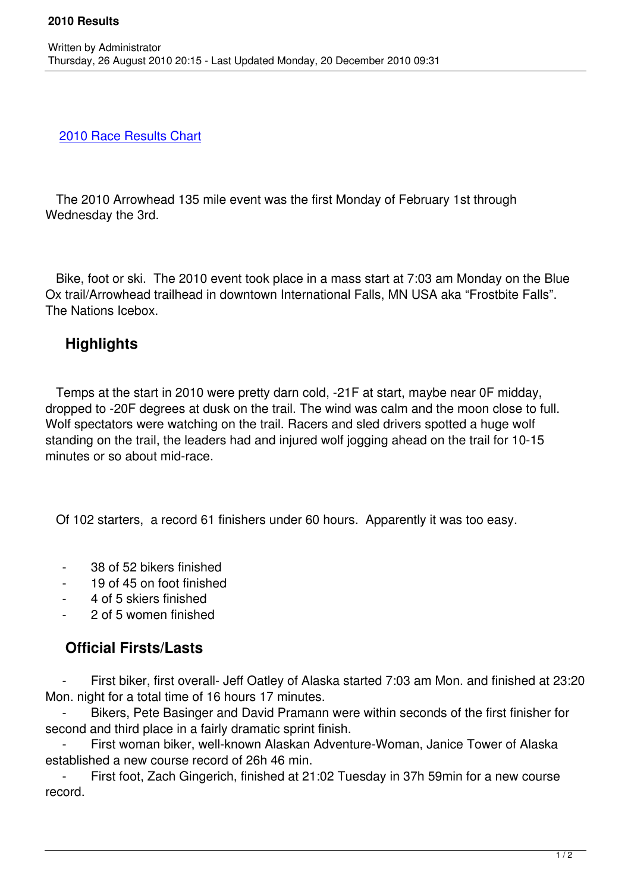## 2010 Race Results Chart

Written by Administrator and Administrator and Administrator and Administrator and Administrator and Administrator and Administrator and Administrator and Administrator and Administrator and Administrator and Administrator

 [The 2010 Arrowhead 135](/images/stories/results/arrowhead2010results.xls) mile event was the first Monday of February 1st through Wednesday the 3rd.

 Bike, foot or ski. The 2010 event took place in a mass start at 7:03 am Monday on the Blue Ox trail/Arrowhead trailhead in downtown International Falls, MN USA aka "Frostbite Falls". The Nations Icebox.

## **Highlights**

 Temps at the start in 2010 were pretty darn cold, -21F at start, maybe near 0F midday, dropped to -20F degrees at dusk on the trail. The wind was calm and the moon close to full. Wolf spectators were watching on the trail. Racers and sled drivers spotted a huge wolf standing on the trail, the leaders had and injured wolf jogging ahead on the trail for 10-15 minutes or so about mid-race.

Of 102 starters, a record 61 finishers under 60 hours. Apparently it was too easy.

- 38 of 52 bikers finished
- 19 of 45 on foot finished
- 4 of 5 skiers finished
- 2 of 5 women finished

## **Official Firsts/Lasts**

First biker, first overall- Jeff Oatley of Alaska started 7:03 am Mon. and finished at 23:20 Mon. night for a total time of 16 hours 17 minutes.

Bikers, Pete Basinger and David Pramann were within seconds of the first finisher for second and third place in a fairly dramatic sprint finish.

First woman biker, well-known Alaskan Adventure-Woman, Janice Tower of Alaska established a new course record of 26h 46 min.

First foot, Zach Gingerich, finished at 21:02 Tuesday in 37h 59min for a new course record.